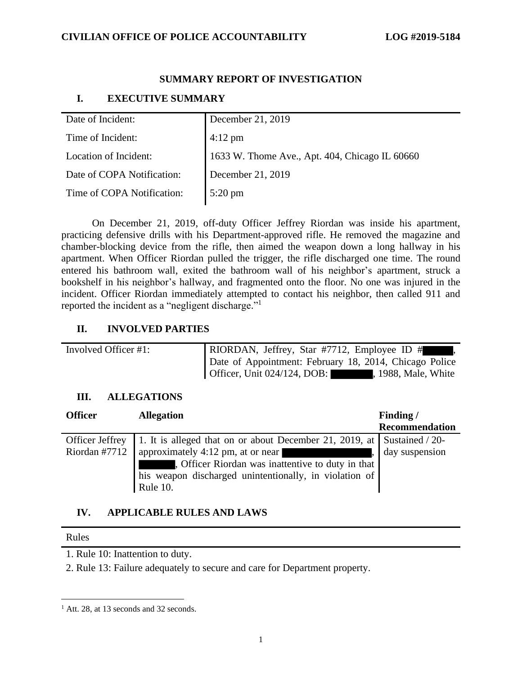## **CIVILIAN OFFICE OF POLICE ACCOUNTABILITY LOG #2019-5184**

## **SUMMARY REPORT OF INVESTIGATION**

# **I. EXECUTIVE SUMMARY**

| Date of Incident:          | December 21, 2019                              |
|----------------------------|------------------------------------------------|
| Time of Incident:          | $4:12 \text{ pm}$                              |
| Location of Incident:      | 1633 W. Thome Ave., Apt. 404, Chicago IL 60660 |
| Date of COPA Notification: | December 21, 2019                              |
| Time of COPA Notification: | 5:20 pm                                        |
|                            |                                                |

On December 21, 2019, off-duty Officer Jeffrey Riordan was inside his apartment, practicing defensive drills with his Department-approved rifle. He removed the magazine and chamber-blocking device from the rifle, then aimed the weapon down a long hallway in his apartment. When Officer Riordan pulled the trigger, the rifle discharged one time. The round entered his bathroom wall, exited the bathroom wall of his neighbor's apartment, struck a bookshelf in his neighbor's hallway, and fragmented onto the floor. No one was injured in the incident. Officer Riordan immediately attempted to contact his neighbor, then called 911 and reported the incident as a "negligent discharge."<sup>1</sup>

## **II. INVOLVED PARTIES**

| Involved Officer #1: | RIORDAN, Jeffrey, Star #7712, Employee ID #            |
|----------------------|--------------------------------------------------------|
|                      | Date of Appointment: February 18, 2014, Chicago Police |
|                      | Officer, Unit $024/124$ , DOB:<br>, 1988, Male, White  |

## **III. ALLEGATIONS**

| <b>Officer</b>         | <b>Allegation</b>                                                             | Finding/              |
|------------------------|-------------------------------------------------------------------------------|-----------------------|
|                        |                                                                               | <b>Recommendation</b> |
| <b>Officer Jeffrey</b> | 1. It is alleged that on or about December 21, 2019, at Sustained / 20-       |                       |
| Riordan #7712          | approximately 4:12 pm, at or near<br><u> La Carlo de Carlo de Santo de Ca</u> | day suspension        |
|                        | Officer Riordan was inattentive to duty in that                               |                       |
|                        | his weapon discharged unintentionally, in violation of                        |                       |
|                        | Rule 10.                                                                      |                       |

## **IV. APPLICABLE RULES AND LAWS**

#### Rules

1. Rule 10: Inattention to duty.

2. Rule 13: Failure adequately to secure and care for Department property.

<sup>&</sup>lt;sup>1</sup> Att. 28, at 13 seconds and 32 seconds.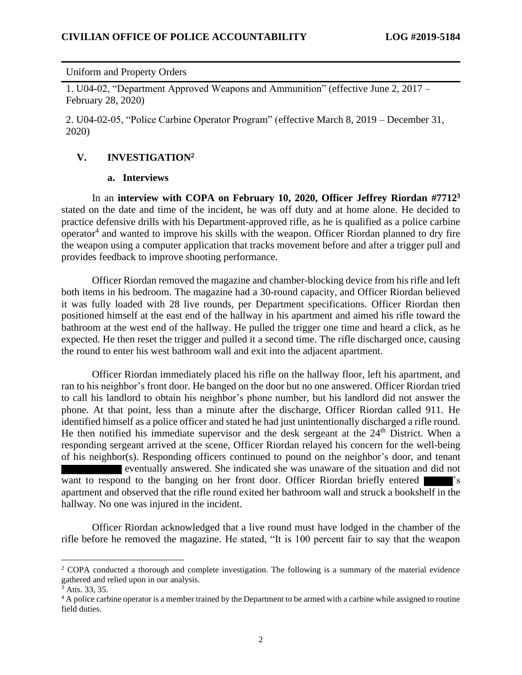### Uniform and Property Orders

1. U04-02, "Department Approved Weapons and Ammunition" (effective June 2, 2017 – February 28, 2020)

2. U04-02-05, "Police Carbine Operator Program" (effective March 8, 2019 – December 31, 2020)

## **V. INVESTIGATION<sup>2</sup>**

### **a. Interviews**

In an **interview with COPA on February 10, 2020, Officer Jeffrey Riordan #7712<sup>3</sup>** stated on the date and time of the incident, he was off duty and at home alone. He decided to practice defensive drills with his Department-approved rifle, as he is qualified as a police carbine operator<sup>4</sup> and wanted to improve his skills with the weapon. Officer Riordan planned to dry fire the weapon using a computer application that tracks movement before and after a trigger pull and provides feedback to improve shooting performance.

Officer Riordan removed the magazine and chamber-blocking device from his rifle and left both items in his bedroom. The magazine had a 30-round capacity, and Officer Riordan believed it was fully loaded with 28 live rounds, per Department specifications. Officer Riordan then positioned himself at the east end of the hallway in his apartment and aimed his rifle toward the bathroom at the west end of the hallway. He pulled the trigger one time and heard a click, as he expected. He then reset the trigger and pulled it a second time. The rifle discharged once, causing the round to enter his west bathroom wall and exit into the adjacent apartment.

Officer Riordan immediately placed his rifle on the hallway floor, left his apartment, and ran to his neighbor's front door. He banged on the door but no one answered. Officer Riordan tried to call his landlord to obtain his neighbor's phone number, but his landlord did not answer the phone. At that point, less than a minute after the discharge, Officer Riordan called 911. He identified himself as a police officer and stated he had just unintentionally discharged a rifle round. He then notified his immediate supervisor and the desk sergeant at the  $24<sup>th</sup>$  District. When a responding sergeant arrived at the scene, Officer Riordan relayed his concern for the well-being of his neighbor(s). Responding officers continued to pound on the neighbor's door, and tenant eventually answered. She indicated she was unaware of the situation and did not want to respond to the banging on her front door. Officer Riordan briefly entered apartment and observed that the rifle round exited her bathroom wall and struck a bookshelf in the hallway. No one was injured in the incident.

Officer Riordan acknowledged that a live round must have lodged in the chamber of the rifle before he removed the magazine. He stated, "It is 100 percent fair to say that the weapon

<sup>&</sup>lt;sup>2</sup> COPA conducted a thorough and complete investigation. The following is a summary of the material evidence gathered and relied upon in our analysis.

 $3^3$  Atts. 33, 35.

<sup>&</sup>lt;sup>4</sup> A police carbine operator is a member trained by the Department to be armed with a carbine while assigned to routine field duties.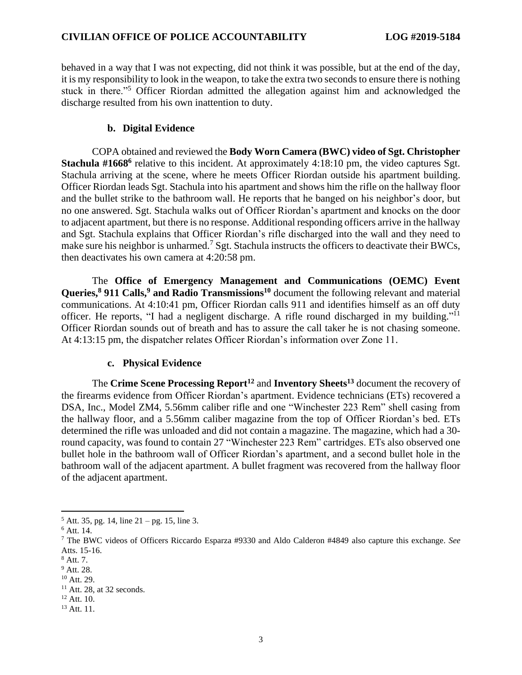behaved in a way that I was not expecting, did not think it was possible, but at the end of the day, it is my responsibility to look in the weapon, to take the extra two seconds to ensure there is nothing stuck in there."<sup>5</sup> Officer Riordan admitted the allegation against him and acknowledged the discharge resulted from his own inattention to duty.

## **b. Digital Evidence**

COPA obtained and reviewed the **Body Worn Camera (BWC) video of Sgt. Christopher Stachula #1668<sup>6</sup>** relative to this incident. At approximately 4:18:10 pm, the video captures Sgt. Stachula arriving at the scene, where he meets Officer Riordan outside his apartment building. Officer Riordan leads Sgt. Stachula into his apartment and shows him the rifle on the hallway floor and the bullet strike to the bathroom wall. He reports that he banged on his neighbor's door, but no one answered. Sgt. Stachula walks out of Officer Riordan's apartment and knocks on the door to adjacent apartment, but there is no response. Additional responding officers arrive in the hallway and Sgt. Stachula explains that Officer Riordan's rifle discharged into the wall and they need to make sure his neighbor is unharmed.<sup>7</sup> Sgt. Stachula instructs the officers to deactivate their BWCs, then deactivates his own camera at 4:20:58 pm.

The **Office of Emergency Management and Communications (OEMC) Event Queries, <sup>8</sup> 911 Calls, <sup>9</sup> and Radio Transmissions<sup>10</sup>** document the following relevant and material communications. At 4:10:41 pm, Officer Riordan calls 911 and identifies himself as an off duty officer. He reports, "I had a negligent discharge. A rifle round discharged in my building."<sup>11</sup> Officer Riordan sounds out of breath and has to assure the call taker he is not chasing someone. At 4:13:15 pm, the dispatcher relates Officer Riordan's information over Zone 11.

### **c. Physical Evidence**

The **Crime Scene Processing Report<sup>12</sup>** and **Inventory Sheets<sup>13</sup>** document the recovery of the firearms evidence from Officer Riordan's apartment. Evidence technicians (ETs) recovered a DSA, Inc., Model ZM4, 5.56mm caliber rifle and one "Winchester 223 Rem" shell casing from the hallway floor, and a 5.56mm caliber magazine from the top of Officer Riordan's bed. ETs determined the rifle was unloaded and did not contain a magazine. The magazine, which had a 30 round capacity, was found to contain 27 "Winchester 223 Rem" cartridges. ETs also observed one bullet hole in the bathroom wall of Officer Riordan's apartment, and a second bullet hole in the bathroom wall of the adjacent apartment. A bullet fragment was recovered from the hallway floor of the adjacent apartment.

 $5$  Att. 35, pg. 14, line 21 – pg. 15, line 3.

<sup>6</sup> Att. 14.

<sup>7</sup> The BWC videos of Officers Riccardo Esparza #9330 and Aldo Calderon #4849 also capture this exchange. *See* Atts. 15-16.

<sup>8</sup> Att. 7.

<sup>9</sup> Att. 28.

<sup>10</sup> Att. 29.

 $11$  Att. 28, at 32 seconds.

<sup>&</sup>lt;sup>12</sup> Att. 10.

<sup>13</sup> Att. 11.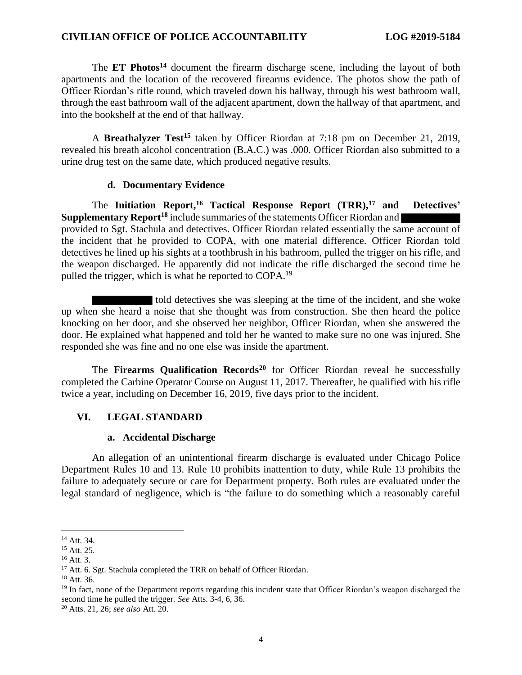#### **CIVILIAN OFFICE OF POLICE ACCOUNTABILITY LOG #2019-5184**

The **ET Photos<sup>14</sup>** document the firearm discharge scene, including the layout of both apartments and the location of the recovered firearms evidence. The photos show the path of Officer Riordan's rifle round, which traveled down his hallway, through his west bathroom wall, through the east bathroom wall of the adjacent apartment, down the hallway of that apartment, and into the bookshelf at the end of that hallway.

A **Breathalyzer Test<sup>15</sup>** taken by Officer Riordan at 7:18 pm on December 21, 2019, revealed his breath alcohol concentration (B.A.C.) was .000. Officer Riordan also submitted to a urine drug test on the same date, which produced negative results.

#### **d. Documentary Evidence**

The **Initiation Report,<sup>16</sup> Tactical Response Report (TRR), <sup>17</sup> and Detectives' Supplementary Report<sup>18</sup>** include summaries of the statements Officer Riordan and provided to Sgt. Stachula and detectives. Officer Riordan related essentially the same account of the incident that he provided to COPA, with one material difference. Officer Riordan told detectives he lined up his sights at a toothbrush in his bathroom, pulled the trigger on his rifle, and the weapon discharged. He apparently did not indicate the rifle discharged the second time he pulled the trigger, which is what he reported to COPA.<sup>19</sup>

told detectives she was sleeping at the time of the incident, and she woke up when she heard a noise that she thought was from construction. She then heard the police knocking on her door, and she observed her neighbor, Officer Riordan, when she answered the door. He explained what happened and told her he wanted to make sure no one was injured. She responded she was fine and no one else was inside the apartment.

The **Firearms Qualification Records<sup>20</sup>** for Officer Riordan reveal he successfully completed the Carbine Operator Course on August 11, 2017. Thereafter, he qualified with his rifle twice a year, including on December 16, 2019, five days prior to the incident.

### **VI. LEGAL STANDARD**

#### **a. Accidental Discharge**

An allegation of an unintentional firearm discharge is evaluated under Chicago Police Department Rules 10 and 13. Rule 10 prohibits inattention to duty, while Rule 13 prohibits the failure to adequately secure or care for Department property. Both rules are evaluated under the legal standard of negligence, which is "the failure to do something which a reasonably careful

<sup>14</sup> Att. 34.

 $15$  Att. 25.

<sup>16</sup> Att. 3.

<sup>&</sup>lt;sup>17</sup> Att. 6. Sgt. Stachula completed the TRR on behalf of Officer Riordan.

 $18$  Att. 36.

<sup>&</sup>lt;sup>19</sup> In fact, none of the Department reports regarding this incident state that Officer Riordan's weapon discharged the second time he pulled the trigger. *See* Atts. 3-4, 6, 36.

<sup>20</sup> Atts. 21, 26; *see also* Att. 20.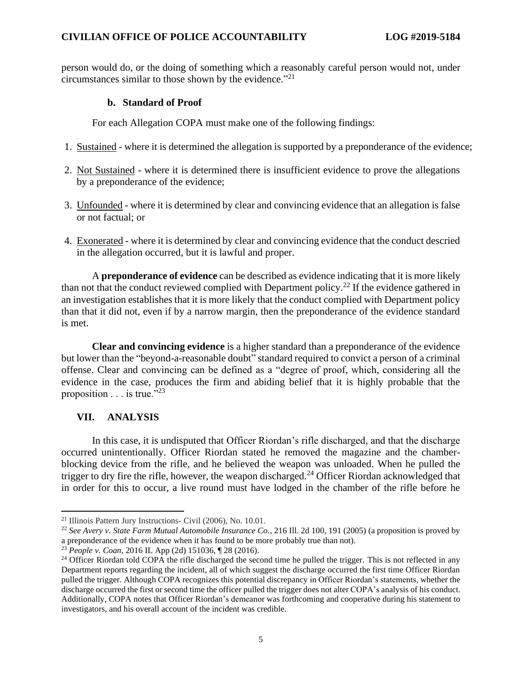person would do, or the doing of something which a reasonably careful person would not, under circumstances similar to those shown by the evidence." $^{21}$ 

### **b. Standard of Proof**

For each Allegation COPA must make one of the following findings:

- 1. Sustained where it is determined the allegation is supported by a preponderance of the evidence;
- 2. Not Sustained where it is determined there is insufficient evidence to prove the allegations by a preponderance of the evidence;
- 3. Unfounded where it is determined by clear and convincing evidence that an allegation is false or not factual; or
- 4. Exonerated where it is determined by clear and convincing evidence that the conduct descried in the allegation occurred, but it is lawful and proper.

A **preponderance of evidence** can be described as evidence indicating that it is more likely than not that the conduct reviewed complied with Department policy.<sup>22</sup> If the evidence gathered in an investigation establishes that it is more likely that the conduct complied with Department policy than that it did not, even if by a narrow margin, then the preponderance of the evidence standard is met.

**Clear and convincing evidence** is a higher standard than a preponderance of the evidence but lower than the "beyond-a-reasonable doubt" standard required to convict a person of a criminal offense. Clear and convincing can be defined as a "degree of proof, which, considering all the evidence in the case, produces the firm and abiding belief that it is highly probable that the proposition  $\ldots$  is true."<sup>23</sup>

## **VII. ANALYSIS**

In this case, it is undisputed that Officer Riordan's rifle discharged, and that the discharge occurred unintentionally. Officer Riordan stated he removed the magazine and the chamberblocking device from the rifle, and he believed the weapon was unloaded. When he pulled the trigger to dry fire the rifle, however, the weapon discharged.<sup>24</sup> Officer Riordan acknowledged that in order for this to occur, a live round must have lodged in the chamber of the rifle before he

<sup>21</sup> Illinois Pattern Jury Instructions- Civil (2006), No. 10.01.

<sup>22</sup> *See Avery v. State Farm Mutual Automobile Insurance Co.*, 216 Ill. 2d 100, 191 (2005) (a proposition is proved by a preponderance of the evidence when it has found to be more probably true than not).

<sup>23</sup> *People v. Coan*, 2016 IL App (2d) 151036, ¶ 28 (2016).

<sup>&</sup>lt;sup>24</sup> Officer Riordan told COPA the rifle discharged the second time he pulled the trigger. This is not reflected in any Department reports regarding the incident, all of which suggest the discharge occurred the first time Officer Riordan pulled the trigger. Although COPA recognizes this potential discrepancy in Officer Riordan's statements, whether the discharge occurred the first or second time the officer pulled the trigger does not alter COPA's analysis of his conduct. Additionally, COPA notes that Officer Riordan's demeanor was forthcoming and cooperative during his statement to investigators, and his overall account of the incident was credible.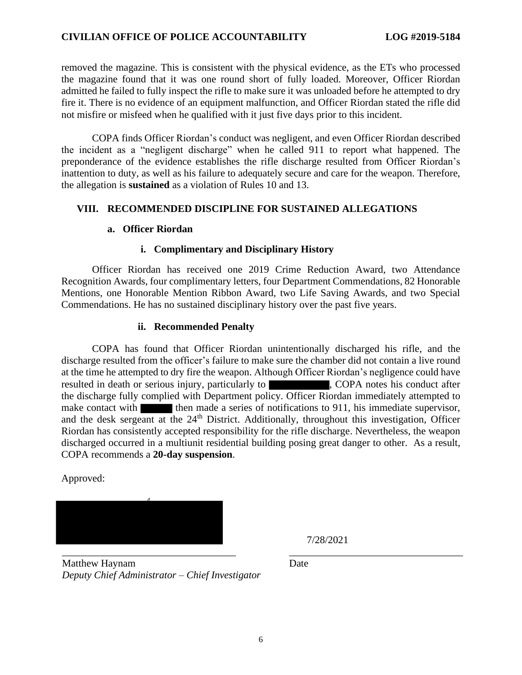## **CIVILIAN OFFICE OF POLICE ACCOUNTABILITY LOG #2019-5184**

removed the magazine. This is consistent with the physical evidence, as the ETs who processed the magazine found that it was one round short of fully loaded. Moreover, Officer Riordan admitted he failed to fully inspect the rifle to make sure it was unloaded before he attempted to dry fire it. There is no evidence of an equipment malfunction, and Officer Riordan stated the rifle did not misfire or misfeed when he qualified with it just five days prior to this incident.

COPA finds Officer Riordan's conduct was negligent, and even Officer Riordan described the incident as a "negligent discharge" when he called 911 to report what happened. The preponderance of the evidence establishes the rifle discharge resulted from Officer Riordan's inattention to duty, as well as his failure to adequately secure and care for the weapon. Therefore, the allegation is **sustained** as a violation of Rules 10 and 13.

## **VIII. RECOMMENDED DISCIPLINE FOR SUSTAINED ALLEGATIONS**

### **a. Officer Riordan**

### **i. Complimentary and Disciplinary History**

Officer Riordan has received one 2019 Crime Reduction Award, two Attendance Recognition Awards, four complimentary letters, four Department Commendations, 82 Honorable Mentions, one Honorable Mention Ribbon Award, two Life Saving Awards, and two Special Commendations. He has no sustained disciplinary history over the past five years.

#### **ii. Recommended Penalty**

COPA has found that Officer Riordan unintentionally discharged his rifle, and the discharge resulted from the officer's failure to make sure the chamber did not contain a live round at the time he attempted to dry fire the weapon. Although Officer Riordan's negligence could have resulted in death or serious injury, particularly to , COPA notes his conduct after the discharge fully complied with Department policy. Officer Riordan immediately attempted to make contact with the then made a series of notifications to 911, his immediate supervisor, and the desk sergeant at the 24<sup>th</sup> District. Additionally, throughout this investigation, Officer Riordan has consistently accepted responsibility for the rifle discharge. Nevertheless, the weapon discharged occurred in a multiunit residential building posing great danger to other. As a result, COPA recommends a **20-day suspension**.

Approved:



Matthew Haynam *Deputy Chief Administrator – Chief Investigator*

7/28/2021

Date